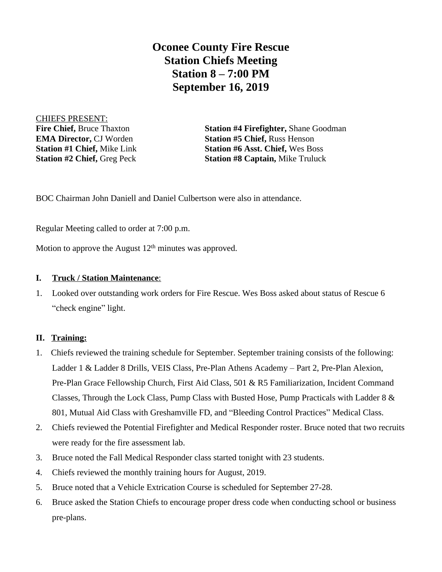**Oconee County Fire Rescue Station Chiefs Meeting Station 8 – 7:00 PM September 16, 2019**

CHIEFS PRESENT:

**Fire Chief,** Bruce Thaxton **Station #4 Firefighter,** Shane Goodman **EMA Director, CJ Worden <b>Station #5 Chief, Russ Henson Station #1 Chief,** Mike Link **Station #6 Asst. Chief,** Wes Boss **Station #2 Chief,** Greg Peck **Station #8 Captain,** Mike Truluck

BOC Chairman John Daniell and Daniel Culbertson were also in attendance.

Regular Meeting called to order at 7:00 p.m.

Motion to approve the August  $12<sup>th</sup>$  minutes was approved.

## **I. Truck / Station Maintenance**:

1. Looked over outstanding work orders for Fire Rescue. Wes Boss asked about status of Rescue 6 "check engine" light.

## **II. Training:**

- 1. Chiefs reviewed the training schedule for September. September training consists of the following: Ladder 1 & Ladder 8 Drills, VEIS Class, Pre-Plan Athens Academy – Part 2, Pre-Plan Alexion, Pre-Plan Grace Fellowship Church, First Aid Class, 501 & R5 Familiarization, Incident Command Classes, Through the Lock Class, Pump Class with Busted Hose, Pump Practicals with Ladder 8 & 801, Mutual Aid Class with Greshamville FD, and "Bleeding Control Practices" Medical Class.
- 2. Chiefs reviewed the Potential Firefighter and Medical Responder roster. Bruce noted that two recruits were ready for the fire assessment lab.
- 3. Bruce noted the Fall Medical Responder class started tonight with 23 students.
- 4. Chiefs reviewed the monthly training hours for August, 2019.
- 5. Bruce noted that a Vehicle Extrication Course is scheduled for September 27-28.
- 6. Bruce asked the Station Chiefs to encourage proper dress code when conducting school or business pre-plans.